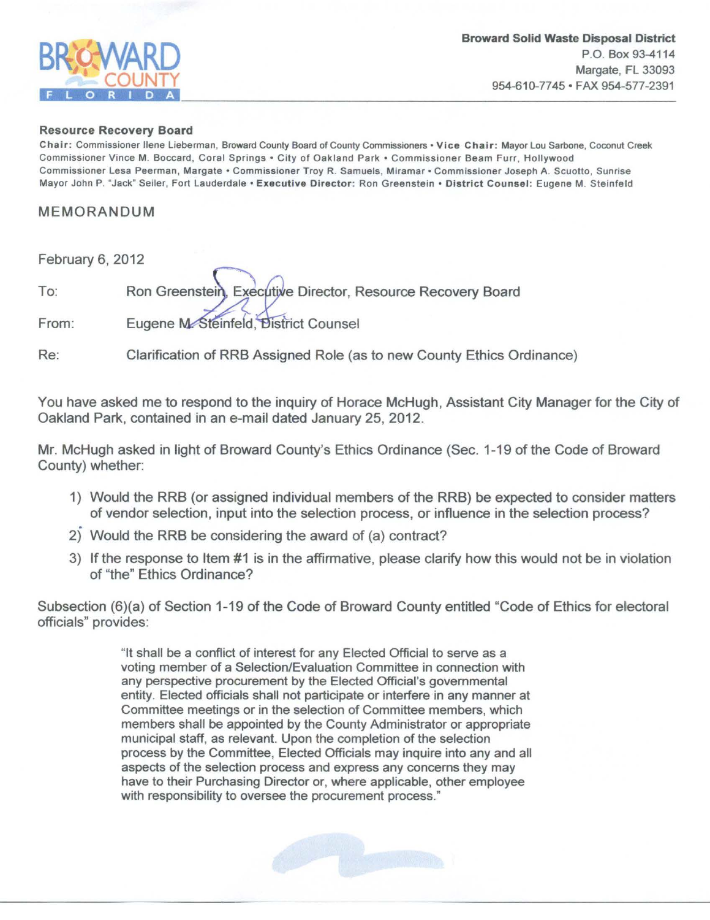

## Resource Recovery Board

Chair: Commissioner Ilene Lieberman, Broward County Board of County Commissioners • Vice Chair: Mayor Lou Sarbone, Coconut Creek Commissioner Vince M. Boccard, Coral Springs • City of Oakland Park • Commissioner Beam Furr, Hollywood Commissioner Lesa Peerman, Margate • Commissioner Troy R. Samuels, Miramar • Commissioner Joseph A. Scuotto, Sunrise Mayor John P. "Jack" Seiler, Fort Lauderdale • Executive Director: Ron Greenstein • District Counsel: Eugene M. Steinfeld

## MEMORANDUM

February 6, 2012 Executive Director, Resource Recovery Board To: Ron Greenstein. From: Eugene M-Steinfeld, District Counsel

Re: Clarification of RRB Assigned Role (as to new County Ethics Ordinance)

You have asked me to respond to the inquiry of Horace McHugh, Assistant City Manager for the City of Oakland Park, contained in an e-mail dated January 25, 2012.

Mr. McHugh asked in light of Broward County's Ethics Ordinance (Sec. 1-19 of the Code of Broward County) whether:

- 1) Would the RRB (or assigned individual members of the RRB) be expected to consider matters of vendor selection, input into the selection process, or influence in the selection process?
- 2) Would the RRB be considering the award of (a) contract?
- 3) If the response to Item #1 is in the affirmative, please clarify how this would not be in violation of "the" Ethics Ordinance?

Subsection (6)(a) of Section 1-19 of the Code of Broward County entitled "Code of Ethics for electoral officials" provides:

> "It shall be a conflict of interest for any Elected Official to serve as a voting member of a Selection/Evaluation Committee in connection with any perspective procurement by the Elected Official's governmental entity. Elected officials shall not participate or interfere in any manner at Committee meetings or in the selection of Committee members, which members shall be appointed by the County Administrator or appropriate municipal staff, as relevant. Upon the completion of the selection process by the Committee, Elected Officials may inquire into any and all aspects of the selection process and express any concerns they may have to their Purchasing Director or, where applicable, other employee with responsibility to oversee the procurement process."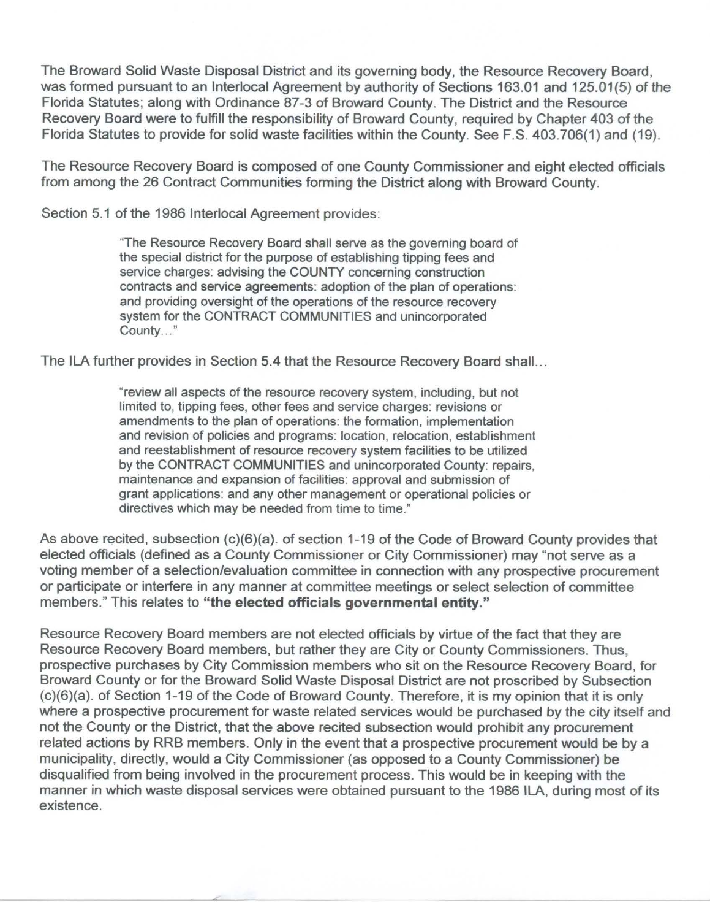The Broward Solid Waste Disposal District and its governing body, the Resource Recovery Board, was formed pursuant to an lnterlocal Agreement by authority of Sections 163.01 and 125.01(5) of the Florida Statutes; along with Ordinance 87-3 of Broward County. The District and the Resource Recovery Board were to fulfill the responsibility of Broward County, required by Chapter 403 of the Florida Statutes to provide for solid waste facilities within the County. See F.S. 403.706(1) and (19).

The Resource Recovery Board is composed of one County Commissioner and eight elected officials from among the 26 Contract Communities forming the District along with Broward County.

Section 5.1 of the 1986 lnterlocal Agreement provides:

"The Resource Recovery Board shall serve as the governing board of the special district for the purpose of establishing tipping fees and service charges: advising the COUNTY concerning construction contracts and service agreements: adoption of the plan of operations: and providing oversight of the operations of the resource recovery system for the CONTRACT COMMUNITIES and unincorporated County..."

The ILA further provides in Section 5.4 that the Resource Recovery Board shall ...

"review all aspects of the resource recovery system, including, but not limited to, tipping fees, other fees and service charges: revisions or amendments to the plan of operations: the formation, implementation and revision of policies and programs: location, relocation, establishment and reestablishment of resource recovery system facilities to be utilized by the CONTRACT COMMUNITIES and unincorporated County: repairs, maintenance and expansion of facilities: approval and submission of grant applications: and any other management or operational policies or directives which may be needed from time to time."

As above recited, subsection (c)(6)(a). of section 1-19 of the Code of Broward County provides that elected officials (defined as a County Commissioner or City Commissioner) may "not serve as a voting member of a selection/evaluation committee in connection with any prospective procurement or participate or interfere in any manner at committee meetings or select selection of committee members." This relates to **"the elected officials governmental entity."** 

Resource Recovery Board members are not elected officials by virtue of the fact that they are Resource Recovery Board members, but rather they are City or County Commissioners. Thus, prospective purchases by City Commission members who sit on the Resource Recovery Board, for Broward County or for the Broward Solid Waste Disposal District are not proscribed by Subsection (c)(6)(a). of Section 1-19 of the Code of Broward County. Therefore, it is my opinion that it is only where a prospective procurement for waste related services would be purchased by the city itself and not the County or the District, that the above recited subsection would prohibit any procurement related actions by RRB members. Only in the event that a prospective procurement would be by a municipality, directly, would a City Commissioner (as opposed to a County Commissioner) be disqualified from being involved in the procurement process. This would be in keeping with the manner in which waste disposal services were obtained pursuant to the 1986 ILA, during most of its existence.